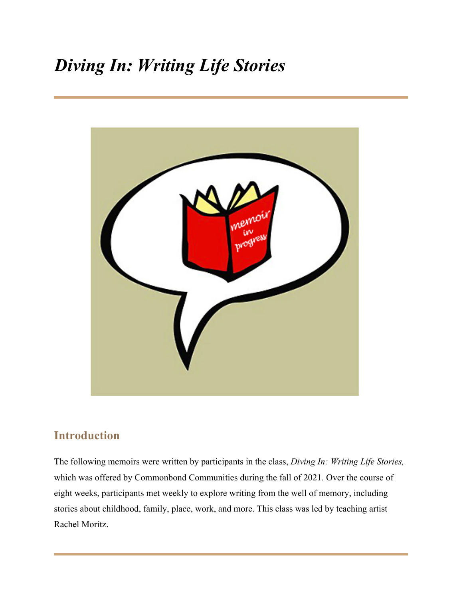# *Diving In: Writing Life Stories*



### **Introduction**

The following memoirs were written by participants in the class, *Diving In: Writing Life Stories,*  which was offered by Commonbond Communities during the fall of 2021. Over the course of eight weeks, participants met weekly to explore writing from the well of memory, including stories about childhood, family, place, work, and more. This class was led by teaching artist Rachel Moritz.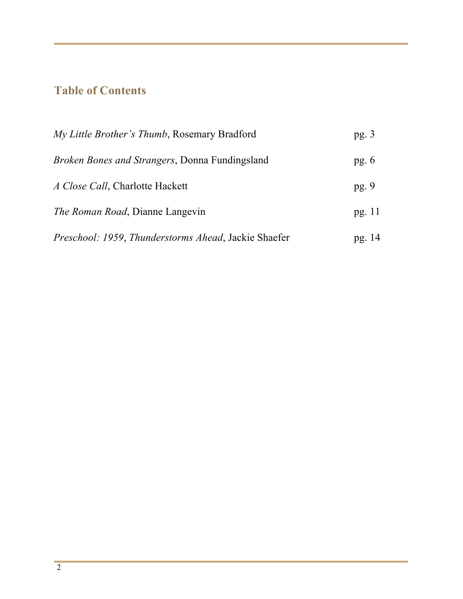## **Table of Contents**

| My Little Brother's Thumb, Rosemary Bradford                | pg. $3$ |
|-------------------------------------------------------------|---------|
| <i>Broken Bones and Strangers, Donna Fundingsland</i>       | pg. $6$ |
| A Close Call, Charlotte Hackett                             | pg.9    |
| <i>The Roman Road</i> , Dianne Langevin                     | pg. 11  |
| <i>Preschool: 1959, Thunderstorms Ahead, Jackie Shaefer</i> | pg. 14  |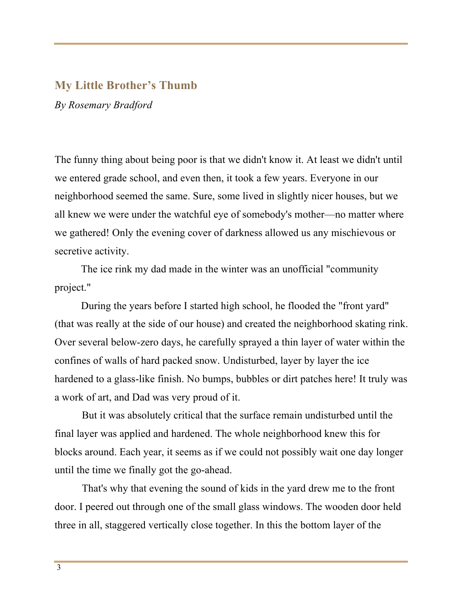#### **My Little Brother's Thumb**

*By Rosemary Bradford*

The funny thing about being poor is that we didn't know it. At least we didn't until we entered grade school, and even then, it took a few years. Everyone in our neighborhood seemed the same. Sure, some lived in slightly nicer houses, but we all knew we were under the watchful eye of somebody's mother—no matter where we gathered! Only the evening cover of darkness allowed us any mischievous or secretive activity.

The ice rink my dad made in the winter was an unofficial "community project."

During the years before I started high school, he flooded the "front yard" (that was really at the side of our house) and created the neighborhood skating rink. Over several below-zero days, he carefully sprayed a thin layer of water within the confines of walls of hard packed snow. Undisturbed, layer by layer the ice hardened to a glass-like finish. No bumps, bubbles or dirt patches here! It truly was a work of art, and Dad was very proud of it.

But it was absolutely critical that the surface remain undisturbed until the final layer was applied and hardened. The whole neighborhood knew this for blocks around. Each year, it seems as if we could not possibly wait one day longer until the time we finally got the go-ahead.

That's why that evening the sound of kids in the yard drew me to the front door. I peered out through one of the small glass windows. The wooden door held three in all, staggered vertically close together. In this the bottom layer of the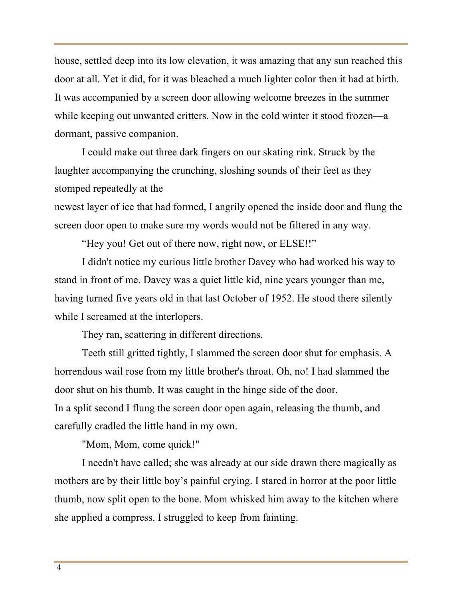house, settled deep into its low elevation, it was amazing that any sun reached this door at all. Yet it did, for it was bleached a much lighter color then it had at birth. It was accompanied by a screen door allowing welcome breezes in the summer while keeping out unwanted critters. Now in the cold winter it stood frozen—a dormant, passive companion.

I could make out three dark fingers on our skating rink. Struck by the laughter accompanying the crunching, sloshing sounds of their feet as they stomped repeatedly at the

newest layer of ice that had formed, I angrily opened the inside door and flung the screen door open to make sure my words would not be filtered in any way.

"Hey you! Get out of there now, right now, or ELSE!!"

I didn't notice my curious little brother Davey who had worked his way to stand in front of me. Davey was a quiet little kid, nine years younger than me, having turned five years old in that last October of 1952. He stood there silently while I screamed at the interlopers.

They ran, scattering in different directions.

Teeth still gritted tightly, I slammed the screen door shut for emphasis. A horrendous wail rose from my little brother's throat. Oh, no! I had slammed the door shut on his thumb. It was caught in the hinge side of the door. In a split second I flung the screen door open again, releasing the thumb, and carefully cradled the little hand in my own.

"Mom, Mom, come quick!"

I needn't have called; she was already at our side drawn there magically as mothers are by their little boy's painful crying. I stared in horror at the poor little thumb, now split open to the bone. Mom whisked him away to the kitchen where she applied a compress. I struggled to keep from fainting.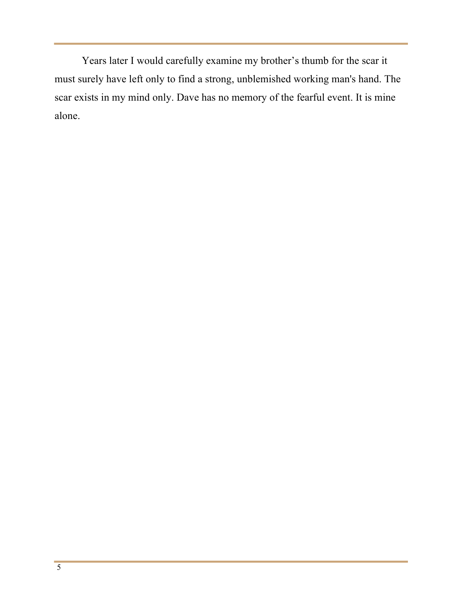Years later I would carefully examine my brother's thumb for the scar it must surely have left only to find a strong, unblemished working man's hand. The scar exists in my mind only. Dave has no memory of the fearful event. It is mine alone.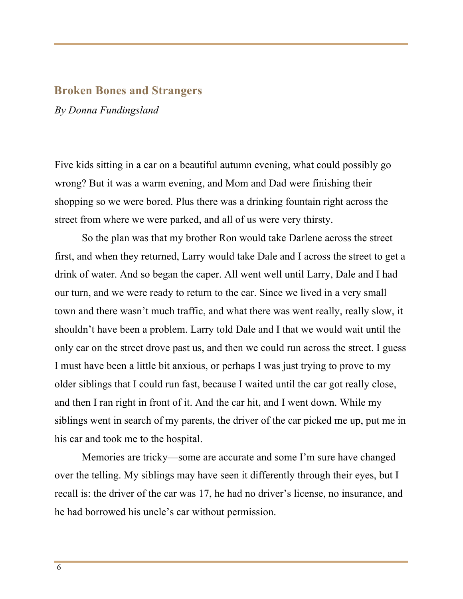#### **Broken Bones and Strangers**

*By Donna Fundingsland*

Five kids sitting in a car on a beautiful autumn evening, what could possibly go wrong? But it was a warm evening, and Mom and Dad were finishing their shopping so we were bored. Plus there was a drinking fountain right across the street from where we were parked, and all of us were very thirsty.

So the plan was that my brother Ron would take Darlene across the street first, and when they returned, Larry would take Dale and I across the street to get a drink of water. And so began the caper. All went well until Larry, Dale and I had our turn, and we were ready to return to the car. Since we lived in a very small town and there wasn't much traffic, and what there was went really, really slow, it shouldn't have been a problem. Larry told Dale and I that we would wait until the only car on the street drove past us, and then we could run across the street. I guess I must have been a little bit anxious, or perhaps I was just trying to prove to my older siblings that I could run fast, because I waited until the car got really close, and then I ran right in front of it. And the car hit, and I went down. While my siblings went in search of my parents, the driver of the car picked me up, put me in his car and took me to the hospital.

Memories are tricky—some are accurate and some I'm sure have changed over the telling. My siblings may have seen it differently through their eyes, but I recall is: the driver of the car was 17, he had no driver's license, no insurance, and he had borrowed his uncle's car without permission.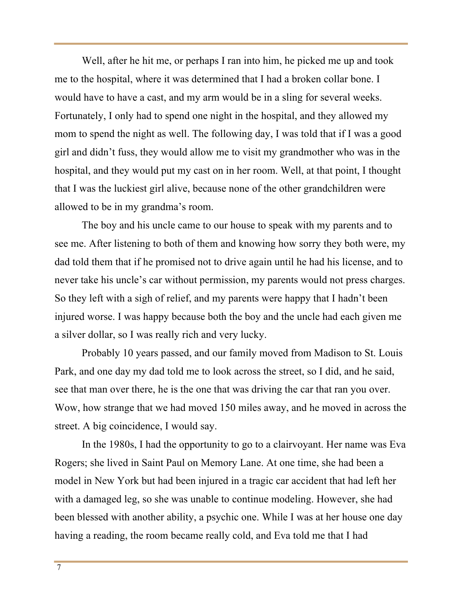Well, after he hit me, or perhaps I ran into him, he picked me up and took me to the hospital, where it was determined that I had a broken collar bone. I would have to have a cast, and my arm would be in a sling for several weeks. Fortunately, I only had to spend one night in the hospital, and they allowed my mom to spend the night as well. The following day, I was told that if I was a good girl and didn't fuss, they would allow me to visit my grandmother who was in the hospital, and they would put my cast on in her room. Well, at that point, I thought that I was the luckiest girl alive, because none of the other grandchildren were allowed to be in my grandma's room.

The boy and his uncle came to our house to speak with my parents and to see me. After listening to both of them and knowing how sorry they both were, my dad told them that if he promised not to drive again until he had his license, and to never take his uncle's car without permission, my parents would not press charges. So they left with a sigh of relief, and my parents were happy that I hadn't been injured worse. I was happy because both the boy and the uncle had each given me a silver dollar, so I was really rich and very lucky.

Probably 10 years passed, and our family moved from Madison to St. Louis Park, and one day my dad told me to look across the street, so I did, and he said, see that man over there, he is the one that was driving the car that ran you over. Wow, how strange that we had moved 150 miles away, and he moved in across the street. A big coincidence, I would say.

In the 1980s, I had the opportunity to go to a clairvoyant. Her name was Eva Rogers; she lived in Saint Paul on Memory Lane. At one time, she had been a model in New York but had been injured in a tragic car accident that had left her with a damaged leg, so she was unable to continue modeling. However, she had been blessed with another ability, a psychic one. While I was at her house one day having a reading, the room became really cold, and Eva told me that I had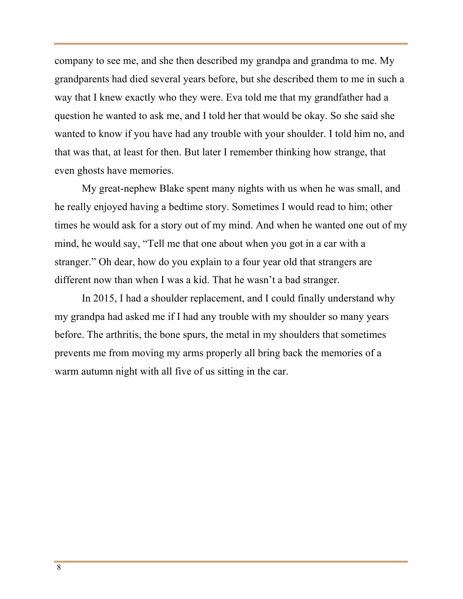company to see me, and she then described my grandpa and grandma to me. My grandparents had died several years before, but she described them to me in such a way that I knew exactly who they were. Eva told me that my grandfather had a question he wanted to ask me, and I told her that would be okay. So she said she wanted to know if you have had any trouble with your shoulder. I told him no, and that was that, at least for then. But later I remember thinking how strange, that even ghosts have memories.

My great-nephew Blake spent many nights with us when he was small, and he really enjoyed having a bedtime story. Sometimes I would read to him; other times he would ask for a story out of my mind. And when he wanted one out of my mind, he would say, "Tell me that one about when you got in a car with a stranger." Oh dear, how do you explain to a four year old that strangers are different now than when I was a kid. That he wasn't a bad stranger.

In 2015, I had a shoulder replacement, and I could finally understand why my grandpa had asked me if I had any trouble with my shoulder so many years before. The arthritis, the bone spurs, the metal in my shoulders that sometimes prevents me from moving my arms properly all bring back the memories of a warm autumn night with all five of us sitting in the car.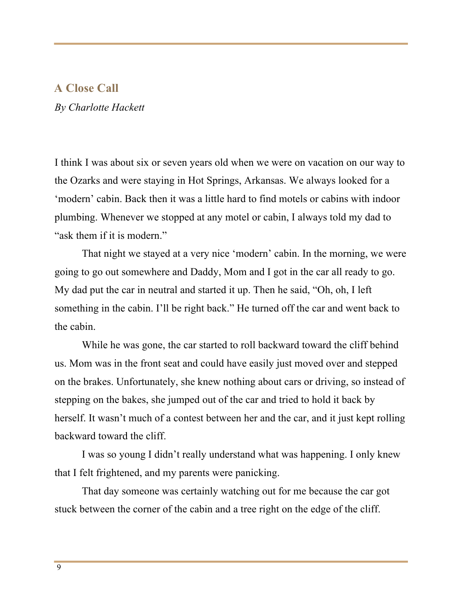#### **A Close Call**

*By Charlotte Hackett*

I think I was about six or seven years old when we were on vacation on our way to the Ozarks and were staying in Hot Springs, Arkansas. We always looked for a 'modern' cabin. Back then it was a little hard to find motels or cabins with indoor plumbing. Whenever we stopped at any motel or cabin, I always told my dad to "ask them if it is modern."

 That night we stayed at a very nice 'modern' cabin. In the morning, we were going to go out somewhere and Daddy, Mom and I got in the car all ready to go. My dad put the car in neutral and started it up. Then he said, "Oh, oh, I left something in the cabin. I'll be right back." He turned off the car and went back to the cabin.

 While he was gone, the car started to roll backward toward the cliff behind us. Mom was in the front seat and could have easily just moved over and stepped on the brakes. Unfortunately, she knew nothing about cars or driving, so instead of stepping on the bakes, she jumped out of the car and tried to hold it back by herself. It wasn't much of a contest between her and the car, and it just kept rolling backward toward the cliff.

 I was so young I didn't really understand what was happening. I only knew that I felt frightened, and my parents were panicking.

 That day someone was certainly watching out for me because the car got stuck between the corner of the cabin and a tree right on the edge of the cliff.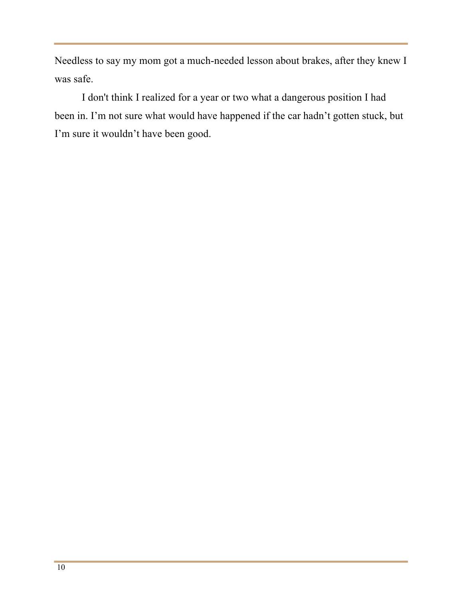Needless to say my mom got a much-needed lesson about brakes, after they knew I was safe.

 I don't think I realized for a year or two what a dangerous position I had been in. I'm not sure what would have happened if the car hadn't gotten stuck, but I'm sure it wouldn't have been good.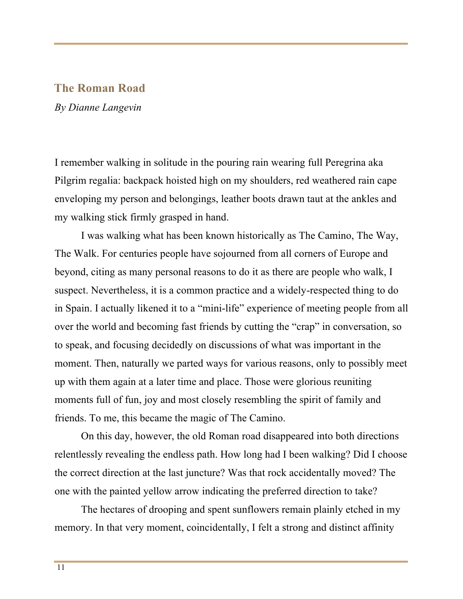#### **The Roman Road**

*By Dianne Langevin*

I remember walking in solitude in the pouring rain wearing full Peregrina aka Pilgrim regalia: backpack hoisted high on my shoulders, red weathered rain cape enveloping my person and belongings, leather boots drawn taut at the ankles and my walking stick firmly grasped in hand.

I was walking what has been known historically as The Camino, The Way, The Walk. For centuries people have sojourned from all corners of Europe and beyond, citing as many personal reasons to do it as there are people who walk, I suspect. Nevertheless, it is a common practice and a widely-respected thing to do in Spain. I actually likened it to a "mini-life" experience of meeting people from all over the world and becoming fast friends by cutting the "crap" in conversation, so to speak, and focusing decidedly on discussions of what was important in the moment. Then, naturally we parted ways for various reasons, only to possibly meet up with them again at a later time and place. Those were glorious reuniting moments full of fun, joy and most closely resembling the spirit of family and friends. To me, this became the magic of The Camino.

On this day, however, the old Roman road disappeared into both directions relentlessly revealing the endless path. How long had I been walking? Did I choose the correct direction at the last juncture? Was that rock accidentally moved? The one with the painted yellow arrow indicating the preferred direction to take?

The hectares of drooping and spent sunflowers remain plainly etched in my memory. In that very moment, coincidentally, I felt a strong and distinct affinity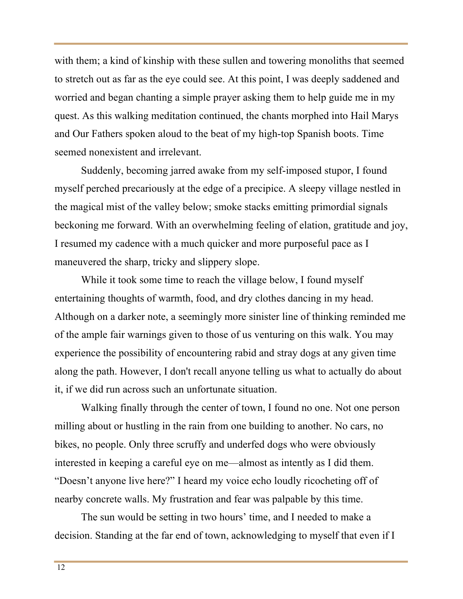with them; a kind of kinship with these sullen and towering monoliths that seemed to stretch out as far as the eye could see. At this point, I was deeply saddened and worried and began chanting a simple prayer asking them to help guide me in my quest. As this walking meditation continued, the chants morphed into Hail Marys and Our Fathers spoken aloud to the beat of my high-top Spanish boots. Time seemed nonexistent and irrelevant.

Suddenly, becoming jarred awake from my self-imposed stupor, I found myself perched precariously at the edge of a precipice. A sleepy village nestled in the magical mist of the valley below; smoke stacks emitting primordial signals beckoning me forward. With an overwhelming feeling of elation, gratitude and joy, I resumed my cadence with a much quicker and more purposeful pace as I maneuvered the sharp, tricky and slippery slope.

While it took some time to reach the village below, I found myself entertaining thoughts of warmth, food, and dry clothes dancing in my head. Although on a darker note, a seemingly more sinister line of thinking reminded me of the ample fair warnings given to those of us venturing on this walk. You may experience the possibility of encountering rabid and stray dogs at any given time along the path. However, I don't recall anyone telling us what to actually do about it, if we did run across such an unfortunate situation.

Walking finally through the center of town, I found no one. Not one person milling about or hustling in the rain from one building to another. No cars, no bikes, no people. Only three scruffy and underfed dogs who were obviously interested in keeping a careful eye on me—almost as intently as I did them. "Doesn't anyone live here?" I heard my voice echo loudly ricocheting off of nearby concrete walls. My frustration and fear was palpable by this time.

The sun would be setting in two hours' time, and I needed to make a decision. Standing at the far end of town, acknowledging to myself that even if I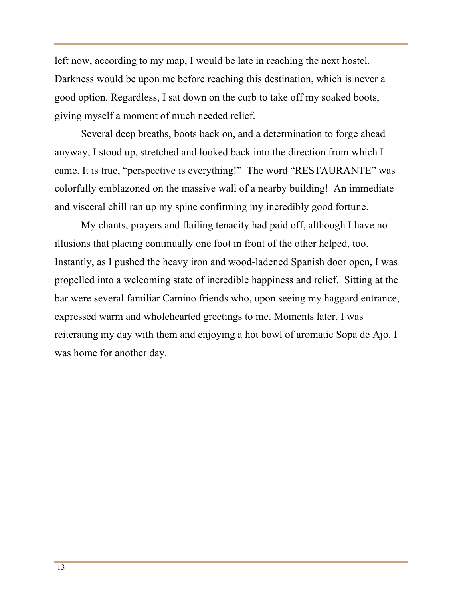left now, according to my map, I would be late in reaching the next hostel. Darkness would be upon me before reaching this destination, which is never a good option. Regardless, I sat down on the curb to take off my soaked boots, giving myself a moment of much needed relief.

Several deep breaths, boots back on, and a determination to forge ahead anyway, I stood up, stretched and looked back into the direction from which I came. It is true, "perspective is everything!" The word "RESTAURANTE" was colorfully emblazoned on the massive wall of a nearby building! An immediate and visceral chill ran up my spine confirming my incredibly good fortune.

My chants, prayers and flailing tenacity had paid off, although I have no illusions that placing continually one foot in front of the other helped, too. Instantly, as I pushed the heavy iron and wood-ladened Spanish door open, I was propelled into a welcoming state of incredible happiness and relief. Sitting at the bar were several familiar Camino friends who, upon seeing my haggard entrance, expressed warm and wholehearted greetings to me. Moments later, I was reiterating my day with them and enjoying a hot bowl of aromatic Sopa de Ajo. I was home for another day.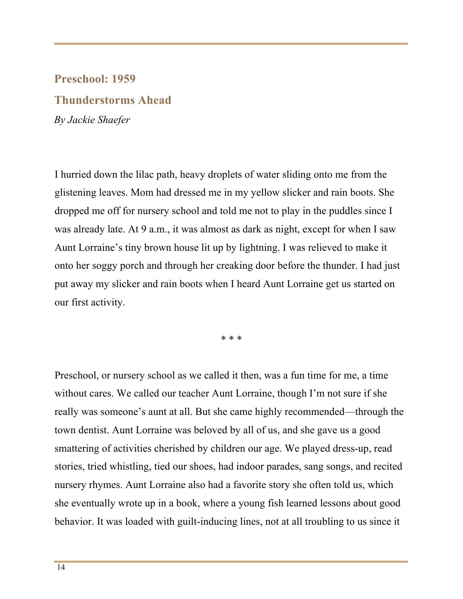## **Preschool: 1959 Thunderstorms Ahead**  *By Jackie Shaefer*

I hurried down the lilac path, heavy droplets of water sliding onto me from the glistening leaves. Mom had dressed me in my yellow slicker and rain boots. She dropped me off for nursery school and told me not to play in the puddles since I was already late. At 9 a.m., it was almost as dark as night, except for when I saw Aunt Lorraine's tiny brown house lit up by lightning. I was relieved to make it onto her soggy porch and through her creaking door before the thunder. I had just put away my slicker and rain boots when I heard Aunt Lorraine get us started on our first activity.

\* \* \*

Preschool, or nursery school as we called it then, was a fun time for me, a time without cares. We called our teacher Aunt Lorraine, though I'm not sure if she really was someone's aunt at all. But she came highly recommended—through the town dentist. Aunt Lorraine was beloved by all of us, and she gave us a good smattering of activities cherished by children our age. We played dress-up, read stories, tried whistling, tied our shoes, had indoor parades, sang songs, and recited nursery rhymes. Aunt Lorraine also had a favorite story she often told us, which she eventually wrote up in a book, where a young fish learned lessons about good behavior. It was loaded with guilt-inducing lines, not at all troubling to us since it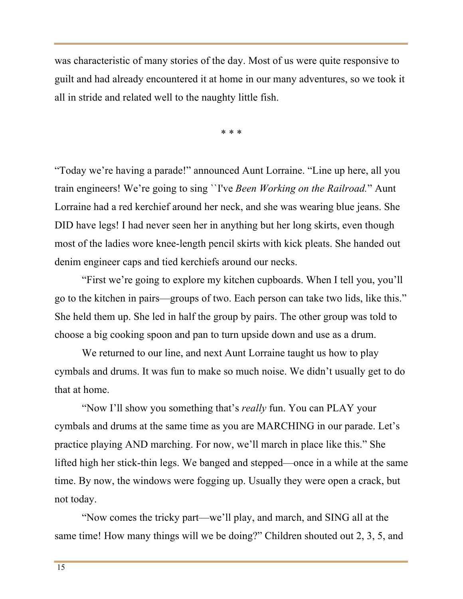was characteristic of many stories of the day. Most of us were quite responsive to guilt and had already encountered it at home in our many adventures, so we took it all in stride and related well to the naughty little fish.

\* \* \*

"Today we're having a parade!" announced Aunt Lorraine. "Line up here, all you train engineers! We're going to sing ``I've *Been Working on the Railroad.*" Aunt Lorraine had a red kerchief around her neck, and she was wearing blue jeans. She DID have legs! I had never seen her in anything but her long skirts, even though most of the ladies wore knee-length pencil skirts with kick pleats. She handed out denim engineer caps and tied kerchiefs around our necks.

 "First we're going to explore my kitchen cupboards. When I tell you, you'll go to the kitchen in pairs—groups of two. Each person can take two lids, like this." She held them up. She led in half the group by pairs. The other group was told to choose a big cooking spoon and pan to turn upside down and use as a drum.

We returned to our line, and next Aunt Lorraine taught us how to play cymbals and drums. It was fun to make so much noise. We didn't usually get to do that at home.

 "Now I'll show you something that's *really* fun. You can PLAY your cymbals and drums at the same time as you are MARCHING in our parade. Let's practice playing AND marching. For now, we'll march in place like this." She lifted high her stick-thin legs. We banged and stepped—once in a while at the same time. By now, the windows were fogging up. Usually they were open a crack, but not today.

 "Now comes the tricky part—we'll play, and march, and SING all at the same time! How many things will we be doing?" Children shouted out 2, 3, 5, and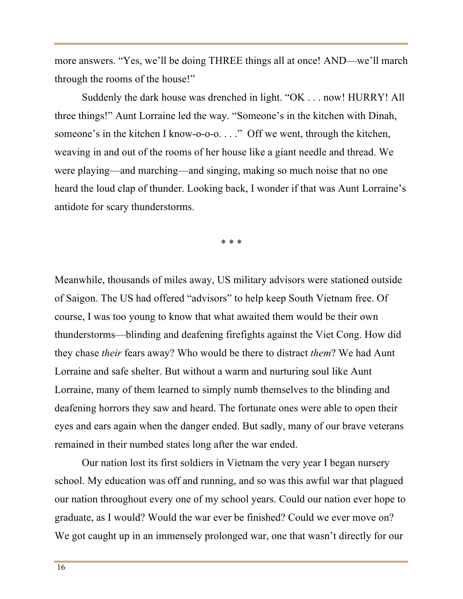more answers. "Yes, we'll be doing THREE things all at once! AND—we'll march through the rooms of the house!"

 Suddenly the dark house was drenched in light. "OK . . . now! HURRY! All three things!" Aunt Lorraine led the way. "Someone's in the kitchen with Dinah, someone's in the kitchen I know-o-o-o. . . ." Off we went, through the kitchen, weaving in and out of the rooms of her house like a giant needle and thread. We were playing—and marching—and singing, making so much noise that no one heard the loud clap of thunder. Looking back, I wonder if that was Aunt Lorraine's antidote for scary thunderstorms.

\* \* \*

Meanwhile, thousands of miles away, US military advisors were stationed outside of Saigon. The US had offered "advisors" to help keep South Vietnam free. Of course, I was too young to know that what awaited them would be their own thunderstorms—blinding and deafening firefights against the Viet Cong. How did they chase *their* fears away? Who would be there to distract *them*? We had Aunt Lorraine and safe shelter. But without a warm and nurturing soul like Aunt Lorraine, many of them learned to simply numb themselves to the blinding and deafening horrors they saw and heard. The fortunate ones were able to open their eyes and ears again when the danger ended. But sadly, many of our brave veterans remained in their numbed states long after the war ended.

 Our nation lost its first soldiers in Vietnam the very year I began nursery school. My education was off and running, and so was this awful war that plagued our nation throughout every one of my school years. Could our nation ever hope to graduate, as I would? Would the war ever be finished? Could we ever move on? We got caught up in an immensely prolonged war, one that wasn't directly for our